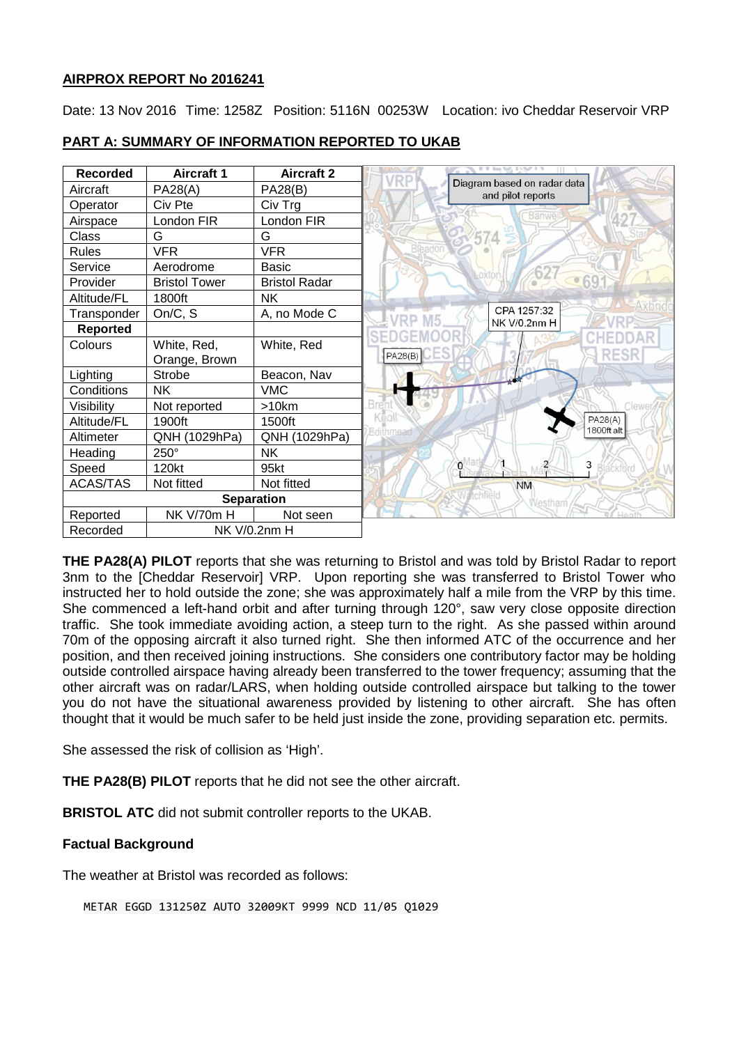## **AIRPROX REPORT No 2016241**

Date: 13 Nov 2016 Time: 1258Z Position: 5116N 00253W Location: ivo Cheddar Reservoir VRP



#### **PART A: SUMMARY OF INFORMATION REPORTED TO UKAB**

**THE PA28(A) PILOT** reports that she was returning to Bristol and was told by Bristol Radar to report 3nm to the [Cheddar Reservoir] VRP. Upon reporting she was transferred to Bristol Tower who instructed her to hold outside the zone; she was approximately half a mile from the VRP by this time. She commenced a left-hand orbit and after turning through 120°, saw very close opposite direction traffic. She took immediate avoiding action, a steep turn to the right. As she passed within around 70m of the opposing aircraft it also turned right. She then informed ATC of the occurrence and her position, and then received joining instructions. She considers one contributory factor may be holding outside controlled airspace having already been transferred to the tower frequency; assuming that the other aircraft was on radar/LARS, when holding outside controlled airspace but talking to the tower you do not have the situational awareness provided by listening to other aircraft. She has often thought that it would be much safer to be held just inside the zone, providing separation etc. permits.

She assessed the risk of collision as 'High'.

**THE PA28(B) PILOT** reports that he did not see the other aircraft.

**BRISTOL ATC** did not submit controller reports to the UKAB.

## **Factual Background**

The weather at Bristol was recorded as follows:

METAR EGGD 131250Z AUTO 32009KT 9999 NCD 11/05 Q1029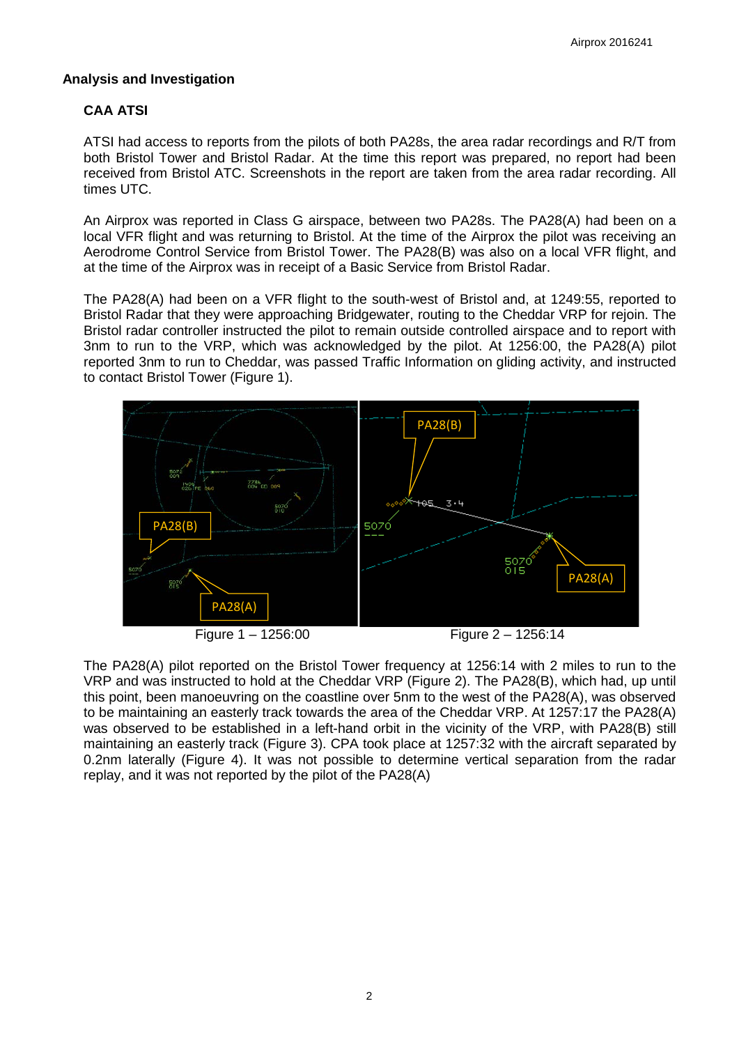#### **Analysis and Investigation**

## **CAA ATSI**

ATSI had access to reports from the pilots of both PA28s, the area radar recordings and R/T from both Bristol Tower and Bristol Radar. At the time this report was prepared, no report had been received from Bristol ATC. Screenshots in the report are taken from the area radar recording. All times UTC.

An Airprox was reported in Class G airspace, between two PA28s. The PA28(A) had been on a local VFR flight and was returning to Bristol. At the time of the Airprox the pilot was receiving an Aerodrome Control Service from Bristol Tower. The PA28(B) was also on a local VFR flight, and at the time of the Airprox was in receipt of a Basic Service from Bristol Radar.

The PA28(A) had been on a VFR flight to the south-west of Bristol and, at 1249:55, reported to Bristol Radar that they were approaching Bridgewater, routing to the Cheddar VRP for rejoin. The Bristol radar controller instructed the pilot to remain outside controlled airspace and to report with 3nm to run to the VRP, which was acknowledged by the pilot. At 1256:00, the PA28(A) pilot reported 3nm to run to Cheddar, was passed Traffic Information on gliding activity, and instructed to contact Bristol Tower (Figure 1).



Figure 1 – 1256:00 Figure 2 – 1256:14

The PA28(A) pilot reported on the Bristol Tower frequency at 1256:14 with 2 miles to run to the VRP and was instructed to hold at the Cheddar VRP (Figure 2). The PA28(B), which had, up until this point, been manoeuvring on the coastline over 5nm to the west of the PA28(A), was observed to be maintaining an easterly track towards the area of the Cheddar VRP. At 1257:17 the PA28(A) was observed to be established in a left-hand orbit in the vicinity of the VRP, with PA28(B) still maintaining an easterly track (Figure 3). CPA took place at 1257:32 with the aircraft separated by 0.2nm laterally (Figure 4). It was not possible to determine vertical separation from the radar replay, and it was not reported by the pilot of the PA28(A)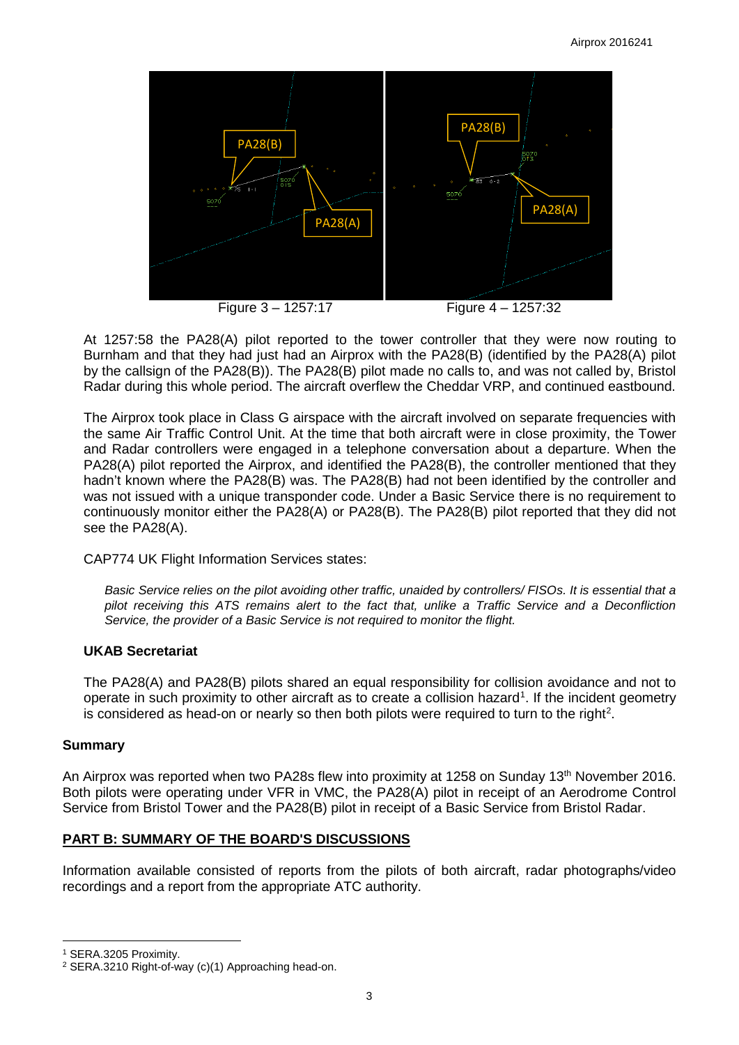

At 1257:58 the PA28(A) pilot reported to the tower controller that they were now routing to Burnham and that they had just had an Airprox with the PA28(B) (identified by the PA28(A) pilot by the callsign of the PA28(B)). The PA28(B) pilot made no calls to, and was not called by, Bristol Radar during this whole period. The aircraft overflew the Cheddar VRP, and continued eastbound.

The Airprox took place in Class G airspace with the aircraft involved on separate frequencies with the same Air Traffic Control Unit. At the time that both aircraft were in close proximity, the Tower and Radar controllers were engaged in a telephone conversation about a departure. When the PA28(A) pilot reported the Airprox, and identified the PA28(B), the controller mentioned that they hadn't known where the PA28(B) was. The PA28(B) had not been identified by the controller and was not issued with a unique transponder code. Under a Basic Service there is no requirement to continuously monitor either the PA28(A) or PA28(B). The PA28(B) pilot reported that they did not see the PA28(A).

CAP774 UK Flight Information Services states:

*Basic Service relies on the pilot avoiding other traffic, unaided by controllers/ FISOs. It is essential that a pilot receiving this ATS remains alert to the fact that, unlike a Traffic Service and a Deconfliction Service, the provider of a Basic Service is not required to monitor the flight.*

## **UKAB Secretariat**

The PA28(A) and PA28(B) pilots shared an equal responsibility for collision avoidance and not to operate in such proximity to other aircraft as to create a collision hazard<sup>[1](#page-2-0)</sup>. If the incident geometry is considered as head-on or nearly so then both pilots were required to turn to the right<sup>[2](#page-2-1)</sup>.

## **Summary**

An Airprox was reported when two PA28s flew into proximity at 1258 on Sunday 13<sup>th</sup> November 2016. Both pilots were operating under VFR in VMC, the PA28(A) pilot in receipt of an Aerodrome Control Service from Bristol Tower and the PA28(B) pilot in receipt of a Basic Service from Bristol Radar.

## **PART B: SUMMARY OF THE BOARD'S DISCUSSIONS**

Information available consisted of reports from the pilots of both aircraft, radar photographs/video recordings and a report from the appropriate ATC authority.

l

<span id="page-2-0"></span><sup>1</sup> SERA.3205 Proximity.

<span id="page-2-1"></span><sup>2</sup> SERA.3210 Right-of-way (c)(1) Approaching head-on.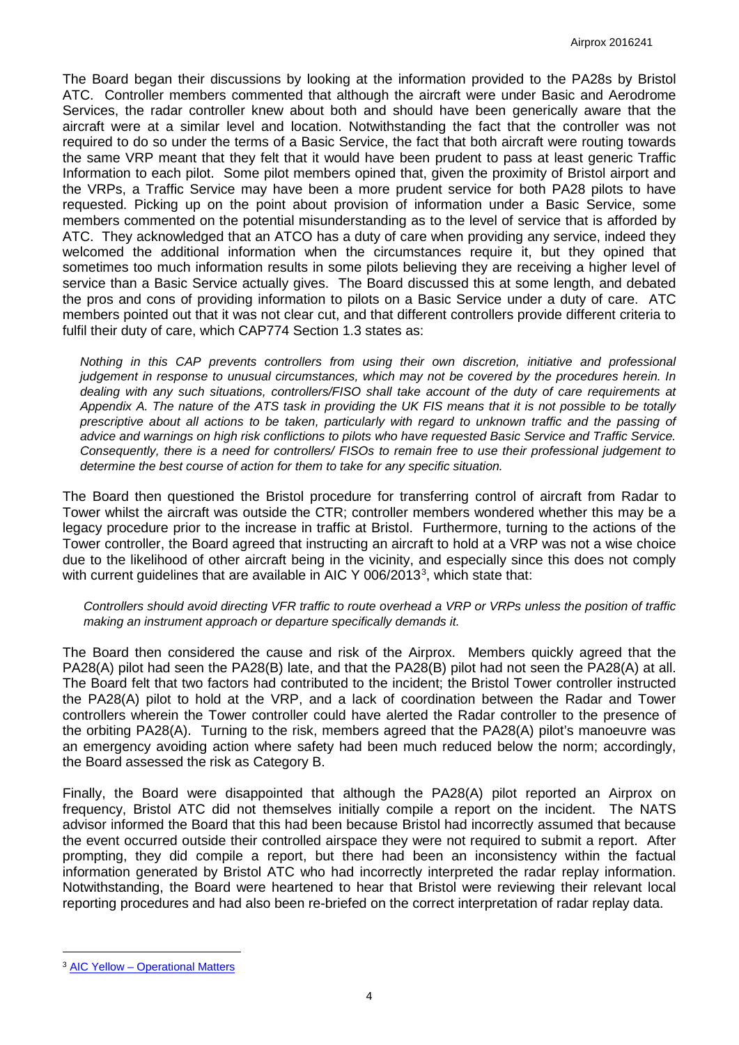The Board began their discussions by looking at the information provided to the PA28s by Bristol ATC. Controller members commented that although the aircraft were under Basic and Aerodrome Services, the radar controller knew about both and should have been generically aware that the aircraft were at a similar level and location. Notwithstanding the fact that the controller was not required to do so under the terms of a Basic Service, the fact that both aircraft were routing towards the same VRP meant that they felt that it would have been prudent to pass at least generic Traffic Information to each pilot. Some pilot members opined that, given the proximity of Bristol airport and the VRPs, a Traffic Service may have been a more prudent service for both PA28 pilots to have requested. Picking up on the point about provision of information under a Basic Service, some members commented on the potential misunderstanding as to the level of service that is afforded by ATC. They acknowledged that an ATCO has a duty of care when providing any service, indeed they welcomed the additional information when the circumstances require it, but they opined that sometimes too much information results in some pilots believing they are receiving a higher level of service than a Basic Service actually gives. The Board discussed this at some length, and debated the pros and cons of providing information to pilots on a Basic Service under a duty of care. ATC members pointed out that it was not clear cut, and that different controllers provide different criteria to fulfil their duty of care, which CAP774 Section 1.3 states as:

*Nothing in this CAP prevents controllers from using their own discretion, initiative and professional judgement in response to unusual circumstances, which may not be covered by the procedures herein. In dealing with any such situations, controllers/FISO shall take account of the duty of care requirements at Appendix A. The nature of the ATS task in providing the UK FIS means that it is not possible to be totally prescriptive about all actions to be taken, particularly with regard to unknown traffic and the passing of advice and warnings on high risk conflictions to pilots who have requested Basic Service and Traffic Service. Consequently, there is a need for controllers/ FISOs to remain free to use their professional judgement to determine the best course of action for them to take for any specific situation.*

The Board then questioned the Bristol procedure for transferring control of aircraft from Radar to Tower whilst the aircraft was outside the CTR; controller members wondered whether this may be a legacy procedure prior to the increase in traffic at Bristol. Furthermore, turning to the actions of the Tower controller, the Board agreed that instructing an aircraft to hold at a VRP was not a wise choice due to the likelihood of other aircraft being in the vicinity, and especially since this does not comply with current guidelines that are available in AIC Y 006/201[3](#page-3-0)<sup>3</sup>, which state that:

*Controllers should avoid directing VFR traffic to route overhead a VRP or VRPs unless the position of traffic making an instrument approach or departure specifically demands it.*

The Board then considered the cause and risk of the Airprox. Members quickly agreed that the PA28(A) pilot had seen the PA28(B) late, and that the PA28(B) pilot had not seen the PA28(A) at all. The Board felt that two factors had contributed to the incident; the Bristol Tower controller instructed the PA28(A) pilot to hold at the VRP, and a lack of coordination between the Radar and Tower controllers wherein the Tower controller could have alerted the Radar controller to the presence of the orbiting PA28(A). Turning to the risk, members agreed that the PA28(A) pilot's manoeuvre was an emergency avoiding action where safety had been much reduced below the norm; accordingly, the Board assessed the risk as Category B.

Finally, the Board were disappointed that although the PA28(A) pilot reported an Airprox on frequency, Bristol ATC did not themselves initially compile a report on the incident. The NATS advisor informed the Board that this had been because Bristol had incorrectly assumed that because the event occurred outside their controlled airspace they were not required to submit a report. After prompting, they did compile a report, but there had been an inconsistency within the factual information generated by Bristol ATC who had incorrectly interpreted the radar replay information. Notwithstanding, the Board were heartened to hear that Bristol were reviewing their relevant local reporting procedures and had also been re-briefed on the correct interpretation of radar replay data.

l

<span id="page-3-0"></span><sup>3</sup> AIC Yellow – [Operational Matters](http://www.nats-uk.ead-it.com/public/index.php%3Foption=com_content&task=blogcategory&id=160&Itemid=57.html)